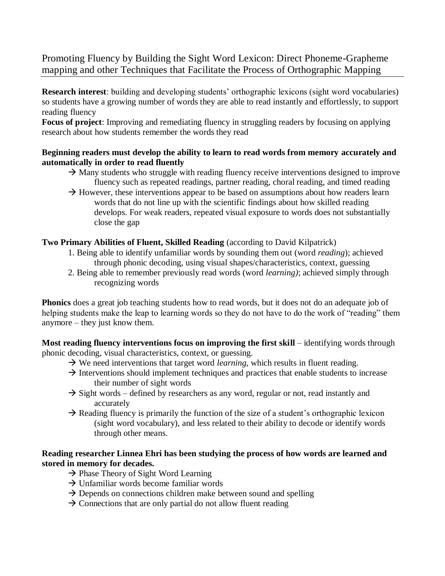# Promoting Fluency by Building the Sight Word Lexicon: Direct Phoneme-Grapheme mapping and other Techniques that Facilitate the Process of Orthographic Mapping

**Research interest**: building and developing students' orthographic lexicons (sight word vocabularies) so students have a growing number of words they are able to read instantly and effortlessly, to support reading fluency

**Focus of project**: Improving and remediating fluency in struggling readers by focusing on applying research about how students remember the words they read

## **Beginning readers must develop the ability to learn to read words from memory accurately and automatically in order to read fluently**

- $\rightarrow$  Many students who struggle with reading fluency receive interventions designed to improve fluency such as repeated readings, partner reading, choral reading, and timed reading
- $\rightarrow$  However, these interventions appear to be based on assumptions about how readers learn words that do not line up with the scientific findings about how skilled reading develops. For weak readers, repeated visual exposure to words does not substantially close the gap

## **Two Primary Abilities of Fluent, Skilled Reading** (according to David Kilpatrick)

- 1. Being able to identify unfamiliar words by sounding them out (word *reading*); achieved through phonic decoding, using visual shapes/characteristics, context, guessing
- 2. Being able to remember previously read words (word *learning)*; achieved simply through recognizing words

**Phonics** does a great job teaching students how to read words, but it does not do an adequate job of helping students make the leap to learning words so they do not have to do the work of "reading" them anymore – they just know them.

**Most reading fluency interventions focus on improving the first skill** – identifying words through phonic decoding, visual characteristics, context, or guessing.

- $\rightarrow$  We need interventions that target word *learning*, which results in fluent reading.
- $\rightarrow$  Interventions should implement techniques and practices that enable students to increase their number of sight words
- $\rightarrow$  Sight words defined by researchers as any word, regular or not, read instantly and accurately
- $\rightarrow$  Reading fluency is primarily the function of the size of a student's orthographic lexicon (sight word vocabulary), and less related to their ability to decode or identify words through other means.

## **Reading researcher Linnea Ehri has been studying the process of how words are learned and stored in memory for decades.**

- $\rightarrow$  Phase Theory of Sight Word Learning
- $\rightarrow$  Unfamiliar words become familiar words
- $\rightarrow$  Depends on connections children make between sound and spelling
- $\rightarrow$  Connections that are only partial do not allow fluent reading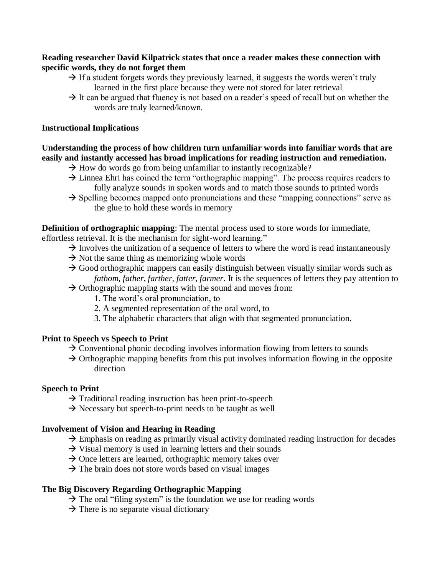### **Reading researcher David Kilpatrick states that once a reader makes these connection with specific words, they do not forget them**

- $\rightarrow$  If a student forgets words they previously learned, it suggests the words weren't truly learned in the first place because they were not stored for later retrieval
- $\rightarrow$  It can be argued that fluency is not based on a reader's speed of recall but on whether the words are truly learned/known.

### **Instructional Implications**

## **Understanding the process of how children turn unfamiliar words into familiar words that are easily and instantly accessed has broad implications for reading instruction and remediation.**

- $\rightarrow$  How do words go from being unfamiliar to instantly recognizable?
- $\rightarrow$  Linnea Ehri has coined the term "orthographic mapping". The process requires readers to fully analyze sounds in spoken words and to match those sounds to printed words
- $\rightarrow$  Spelling becomes mapped onto pronunciations and these "mapping connections" serve as the glue to hold these words in memory

**Definition of orthographic mapping**: The mental process used to store words for immediate,

- effortless retrieval. It is the mechanism for sight-word learning."
	- $\rightarrow$  Involves the unitization of a sequence of letters to where the word is read instantaneously
	- $\rightarrow$  Not the same thing as memorizing whole words
	- $\rightarrow$  Good orthographic mappers can easily distinguish between visually similar words such as *fathom, father, farther, fatter, farmer*. It is the sequences of letters they pay attention to
	- $\rightarrow$  Orthographic mapping starts with the sound and moves from:
		- 1. The word's oral pronunciation, to
		- 2. A segmented representation of the oral word, to
		- 3. The alphabetic characters that align with that segmented pronunciation.

## **Print to Speech vs Speech to Print**

- $\rightarrow$  Conventional phonic decoding involves information flowing from letters to sounds
- $\rightarrow$  Orthographic mapping benefits from this put involves information flowing in the opposite direction

## **Speech to Print**

- $\rightarrow$  Traditional reading instruction has been print-to-speech
- $\rightarrow$  Necessary but speech-to-print needs to be taught as well

## **Involvement of Vision and Hearing in Reading**

- $\rightarrow$  Emphasis on reading as primarily visual activity dominated reading instruction for decades
- $\rightarrow$  Visual memory is used in learning letters and their sounds
- $\rightarrow$  Once letters are learned, orthographic memory takes over
- $\rightarrow$  The brain does not store words based on visual images

## **The Big Discovery Regarding Orthographic Mapping**

- $\rightarrow$  The oral "filing system" is the foundation we use for reading words
- $\rightarrow$  There is no separate visual dictionary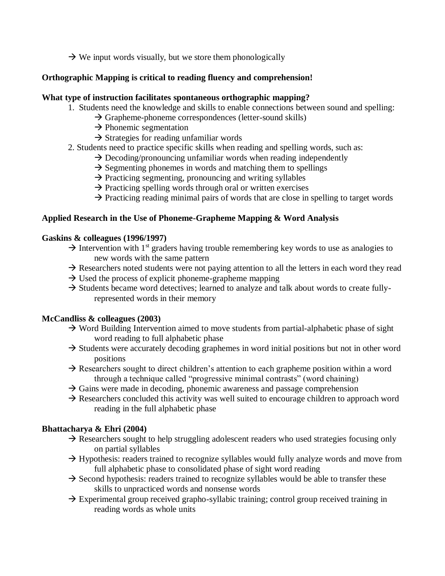## $\rightarrow$  We input words visually, but we store them phonologically

## **Orthographic Mapping is critical to reading fluency and comprehension!**

#### **What type of instruction facilitates spontaneous orthographic mapping?**

- 1. Students need the knowledge and skills to enable connections between sound and spelling:
	- $\rightarrow$  Grapheme-phoneme correspondences (letter-sound skills)
	- $\rightarrow$  Phonemic segmentation
	- $\rightarrow$  Strategies for reading unfamiliar words
- 2. Students need to practice specific skills when reading and spelling words, such as:
	- $\rightarrow$  Decoding/pronouncing unfamiliar words when reading independently
	- $\rightarrow$  Segmenting phonemes in words and matching them to spellings
	- $\rightarrow$  Practicing segmenting, pronouncing and writing syllables
	- $\rightarrow$  Practicing spelling words through oral or written exercises
	- $\rightarrow$  Practicing reading minimal pairs of words that are close in spelling to target words

#### **Applied Research in the Use of Phoneme-Grapheme Mapping & Word Analysis**

#### **Gaskins & colleagues (1996/1997)**

- $\rightarrow$  Intervention with 1<sup>st</sup> graders having trouble remembering key words to use as analogies to new words with the same pattern
- $\rightarrow$  Researchers noted students were not paying attention to all the letters in each word they read
- $\rightarrow$  Used the process of explicit phoneme-grapheme mapping
- $\rightarrow$  Students became word detectives; learned to analyze and talk about words to create fullyrepresented words in their memory

#### **McCandliss & colleagues (2003)**

- $\rightarrow$  Word Building Intervention aimed to move students from partial-alphabetic phase of sight word reading to full alphabetic phase
- $\rightarrow$  Students were accurately decoding graphemes in word initial positions but not in other word positions
- $\rightarrow$  Researchers sought to direct children's attention to each grapheme position within a word through a technique called "progressive minimal contrasts" (word chaining)
- $\rightarrow$  Gains were made in decoding, phonemic awareness and passage comprehension
- $\rightarrow$  Researchers concluded this activity was well suited to encourage children to approach word reading in the full alphabetic phase

## **Bhattacharya & Ehri (2004)**

- $\rightarrow$  Researchers sought to help struggling adolescent readers who used strategies focusing only on partial syllables
- $\rightarrow$  Hypothesis: readers trained to recognize syllables would fully analyze words and move from full alphabetic phase to consolidated phase of sight word reading
- $\rightarrow$  Second hypothesis: readers trained to recognize syllables would be able to transfer these skills to unpracticed words and nonsense words
- $\rightarrow$  Experimental group received grapho-syllabic training; control group received training in reading words as whole units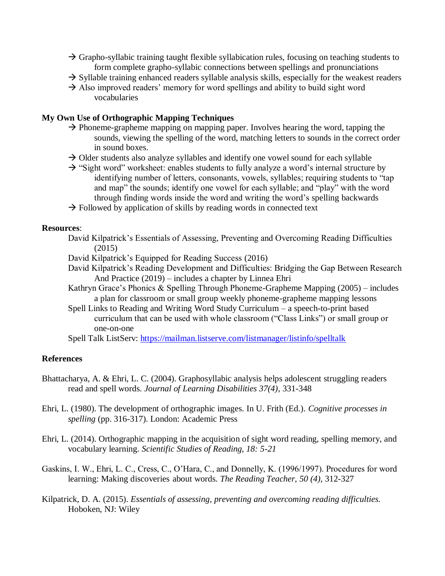- $\rightarrow$  Grapho-syllabic training taught flexible syllabication rules, focusing on teaching students to form complete grapho-syllabic connections between spellings and pronunciations
- $\rightarrow$  Syllable training enhanced readers syllable analysis skills, especially for the weakest readers
- $\rightarrow$  Also improved readers' memory for word spellings and ability to build sight word vocabularies

#### **My Own Use of Orthographic Mapping Techniques**

- $\rightarrow$  Phoneme-grapheme mapping on mapping paper. Involves hearing the word, tapping the sounds, viewing the spelling of the word, matching letters to sounds in the correct order in sound boxes.
- $\rightarrow$  Older students also analyze syllables and identify one vowel sound for each syllable
- $\rightarrow$  "Sight word" worksheet: enables students to fully analyze a word's internal structure by identifying number of letters, consonants, vowels, syllables; requiring students to "tap and map" the sounds; identify one vowel for each syllable; and "play" with the word through finding words inside the word and writing the word's spelling backwards
- $\rightarrow$  Followed by application of skills by reading words in connected text

#### **Resources**:

- David Kilpatrick's Essentials of Assessing, Preventing and Overcoming Reading Difficulties (2015)
- David Kilpatrick's Equipped for Reading Success (2016)
- David Kilpatrick's Reading Development and Difficulties: Bridging the Gap Between Research And Practice (2019) – includes a chapter by Linnea Ehri
- Kathryn Grace's Phonics & Spelling Through Phoneme-Grapheme Mapping (2005) includes a plan for classroom or small group weekly phoneme-grapheme mapping lessons
- Spell Links to Reading and Writing Word Study Curriculum a speech-to-print based curriculum that can be used with whole classroom ("Class Links") or small group or one-on-one

Spell Talk ListServ:<https://mailman.listserve.com/listmanager/listinfo/spelltalk>

#### **References**

- Bhattacharya, A. & Ehri, L. C. (2004). Graphosyllabic analysis helps adolescent struggling readers read and spell words. *Journal of Learning Disabilities 37(4)*, 331-348
- Ehri, L. (1980). The development of orthographic images. In U. Frith (Ed.). *Cognitive processes in spelling* (pp. 316-317). London: Academic Press
- Ehri, L. (2014). Orthographic mapping in the acquisition of sight word reading, spelling memory, and vocabulary learning. *Scientific Studies of Reading, 18: 5-21*
- Gaskins, I. W., Ehri, L. C., Cress, C., O'Hara, C., and Donnelly, K. (1996/1997). Procedures for word learning: Making discoveries about words. *The Reading Teacher, 50 (4)*, 312-327
- Kilpatrick, D. A. (2015). *Essentials of assessing, preventing and overcoming reading difficulties.*  Hoboken, NJ: Wiley